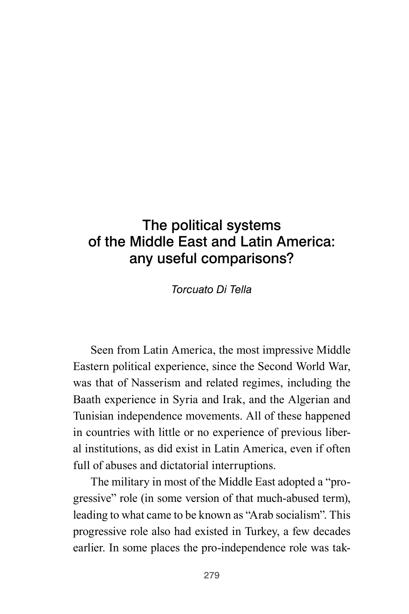# The political systems of the Middle East and Latin America: any useful comparisons?

*Torcuato Di Tella*

Seen from Latin America, the most impressive Middle Eastern political experience, since the Second World War, was that of Nasserism and related regimes, including the Baath experience in Syria and Irak, and the Algerian and Tunisian independence movements. All of these happened in countries with little or no experience of previous liberal institutions, as did exist in Latin America, even if often full of abuses and dictatorial interruptions.

The military in most of the Middle East adopted a "progressive" role (in some version of that much-abused term), leading to what came to be known as "Arab socialism". This progressive role also had existed in Turkey, a few decades earlier. In some places the pro-independence role was tak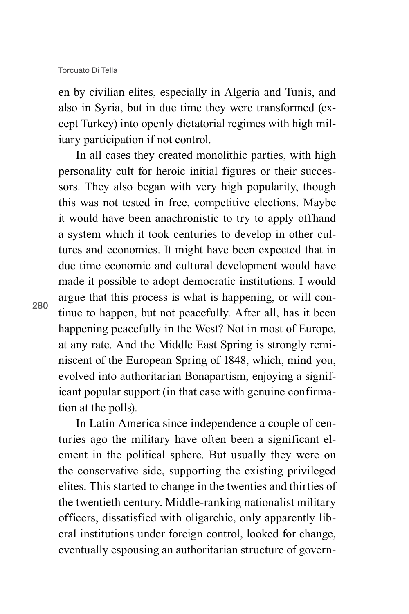en by civilian elites, especially in Algeria and Tunis, and also in Syria, but in due time they were transformed (except Turkey) into openly dictatorial regimes with high military participation if not control.

In all cases they created monolithic parties, with high personality cult for heroic initial figures or their successors. They also began with very high popularity, though this was not tested in free, competitive elections. Maybe it would have been anachronistic to try to apply offhand a system which it took centuries to develop in other cultures and economies. It might have been expected that in due time economic and cultural development would have made it possible to adopt democratic institutions. I would argue that this process is what is happening, or will continue to happen, but not peacefully. After all, has it been happening peacefully in the West? Not in most of Europe, at any rate. And the Middle East Spring is strongly reminiscent of the European Spring of 1848, which, mind you, evolved into authoritarian Bonapartism, enjoying a significant popular support (in that case with genuine confirmation at the polls).

In Latin America since independence a couple of centuries ago the military have often been a significant element in the political sphere. But usually they were on the conservative side, supporting the existing privileged elites. This started to change in the twenties and thirties of the twentieth century. Middle-ranking nationalist military officers, dissatisfied with oligarchic, only apparently liberal institutions under foreign control, looked for change, eventually espousing an authoritarian structure of govern-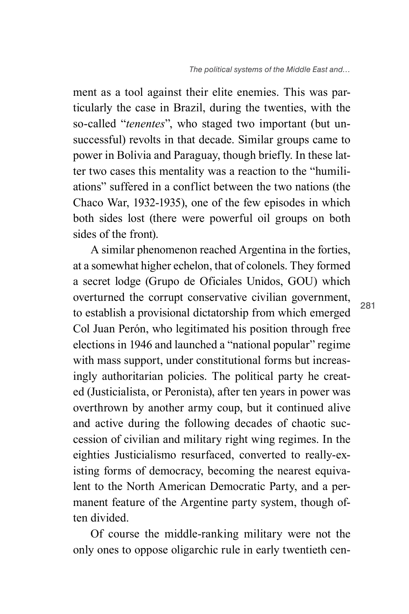ment as a tool against their elite enemies. This was particularly the case in Brazil, during the twenties, with the so-called "*tenentes*", who staged two important (but unsuccessful) revolts in that decade. Similar groups came to power in Bolivia and Paraguay, though briefly. In these latter two cases this mentality was a reaction to the "humiliations" suffered in a conflict between the two nations (the Chaco War, 1932-1935), one of the few episodes in which both sides lost (there were powerful oil groups on both sides of the front).

A similar phenomenon reached Argentina in the forties, at a somewhat higher echelon, that of colonels. They formed a secret lodge (Grupo de Oficiales Unidos, GOU) which overturned the corrupt conservative civilian government, to establish a provisional dictatorship from which emerged Col Juan Perón, who legitimated his position through free elections in 1946 and launched a "national popular" regime with mass support, under constitutional forms but increasingly authoritarian policies. The political party he created (Justicialista, or Peronista), after ten years in power was overthrown by another army coup, but it continued alive and active during the following decades of chaotic succession of civilian and military right wing regimes. In the eighties Justicialismo resurfaced, converted to really-existing forms of democracy, becoming the nearest equivalent to the North American Democratic Party, and a permanent feature of the Argentine party system, though often divided.

Of course the middle-ranking military were not the only ones to oppose oligarchic rule in early twentieth cen-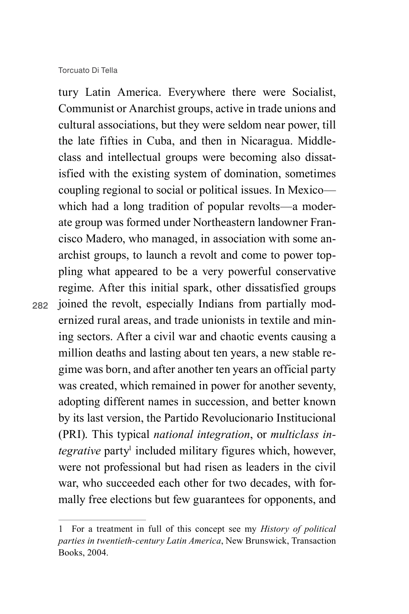#### Torcuato Di Tella

282

tury Latin America. Everywhere there were Socialist, Communist or Anarchist groups, active in trade unions and cultural associations, but they were seldom near power, till the late fifties in Cuba, and then in Nicaragua. Middleclass and intellectual groups were becoming also dissatisfied with the existing system of domination, sometimes coupling regional to social or political issues. In Mexico which had a long tradition of popular revolts—a moderate group was formed under Northeastern landowner Francisco Madero, who managed, in association with some anarchist groups, to launch a revolt and come to power toppling what appeared to be a very powerful conservative regime. After this initial spark, other dissatisfied groups joined the revolt, especially Indians from partially modernized rural areas, and trade unionists in textile and mining sectors. After a civil war and chaotic events causing a million deaths and lasting about ten years, a new stable regime was born, and after another ten years an official party was created, which remained in power for another seventy, adopting different names in succession, and better known by its last version, the Partido Revolucionario Institucional (PRI). This typical *national integration*, or *multiclass in*tegrative party<sup>1</sup> included military figures which, however, were not professional but had risen as leaders in the civil war, who succeeded each other for two decades, with formally free elections but few guarantees for opponents, and

<sup>1</sup> For a treatment in full of this concept see my *History of political parties in twentieth-century Latin America*, New Brunswick, Transaction Books, 2004.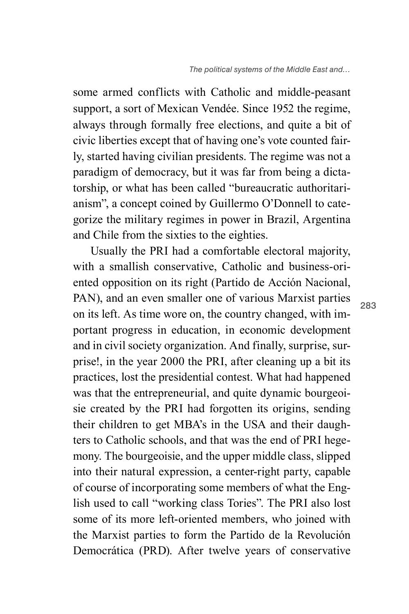some armed conflicts with Catholic and middle-peasant support, a sort of Mexican Vendée. Since 1952 the regime, always through formally free elections, and quite a bit of civic liberties except that of having one's vote counted fairly, started having civilian presidents. The regime was not a paradigm of democracy, but it was far from being a dictatorship, or what has been called "bureaucratic authoritarianism", a concept coined by Guillermo O'Donnell to categorize the military regimes in power in Brazil, Argentina and Chile from the sixties to the eighties.

Usually the PRI had a comfortable electoral majority, with a smallish conservative, Catholic and business-oriented opposition on its right (Partido de Acción Nacional, PAN), and an even smaller one of various Marxist parties on its left. As time wore on, the country changed, with important progress in education, in economic development and in civil society organization. And finally, surprise, surprise!, in the year 2000 the PRI, after cleaning up a bit its practices, lost the presidential contest. What had happened was that the entrepreneurial, and quite dynamic bourgeoisie created by the PRI had forgotten its origins, sending their children to get MBA's in the USA and their daughters to Catholic schools, and that was the end of PRI hegemony. The bourgeoisie, and the upper middle class, slipped into their natural expression, a center-right party, capable of course of incorporating some members of what the English used to call "working class Tories". The PRI also lost some of its more left-oriented members, who joined with the Marxist parties to form the Partido de la Revolución Democrática (PRD). After twelve years of conservative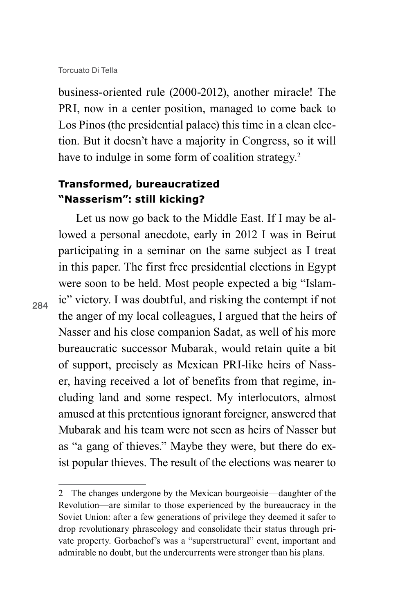business-oriented rule (2000-2012), another miracle! The PRI, now in a center position, managed to come back to Los Pinos (the presidential palace) this time in a clean election. But it doesn't have a majority in Congress, so it will have to indulge in some form of coalition strategy.<sup>2</sup>

### **Transformed, bureaucratized "Nasserism": still kicking?**

Let us now go back to the Middle East. If I may be allowed a personal anecdote, early in 2012 I was in Beirut participating in a seminar on the same subject as I treat in this paper. The first free presidential elections in Egypt were soon to be held. Most people expected a big "Islamic" victory. I was doubtful, and risking the contempt if not the anger of my local colleagues, I argued that the heirs of Nasser and his close companion Sadat, as well of his more bureaucratic successor Mubarak, would retain quite a bit of support, precisely as Mexican PRI-like heirs of Nasser, having received a lot of benefits from that regime, including land and some respect. My interlocutors, almost amused at this pretentious ignorant foreigner, answered that Mubarak and his team were not seen as heirs of Nasser but as "a gang of thieves." Maybe they were, but there do exist popular thieves. The result of the elections was nearer to

<sup>2</sup> The changes undergone by the Mexican bourgeoisie—daughter of the Revolution—are similar to those experienced by the bureaucracy in the Soviet Union: after a few generations of privilege they deemed it safer to drop revolutionary phraseology and consolidate their status through private property. Gorbachof's was a "superstructural" event, important and admirable no doubt, but the undercurrents were stronger than his plans.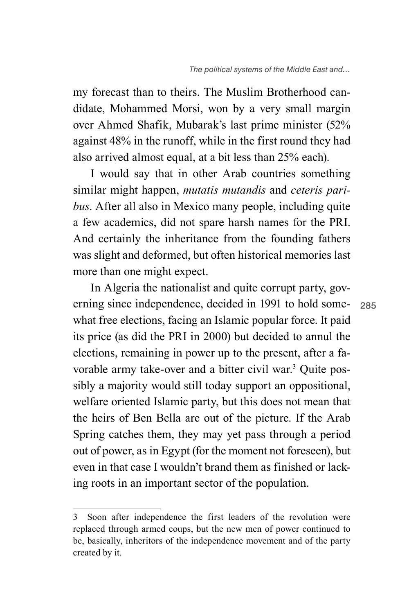my forecast than to theirs. The Muslim Brotherhood candidate, Mohammed Morsi, won by a very small margin over Ahmed Shafik, Mubarak's last prime minister (52% against 48% in the runoff, while in the first round they had also arrived almost equal, at a bit less than 25% each).

I would say that in other Arab countries something similar might happen, *mutatis mutandis* and *ceteris paribus*. After all also in Mexico many people, including quite a few academics, did not spare harsh names for the PRI. And certainly the inheritance from the founding fathers was slight and deformed, but often historical memories last more than one might expect.

In Algeria the nationalist and quite corrupt party, governing since independence, decided in 1991 to hold somewhat free elections, facing an Islamic popular force. It paid its price (as did the PRI in 2000) but decided to annul the elections, remaining in power up to the present, after a favorable army take-over and a bitter civil war.<sup>3</sup> Quite possibly a majority would still today support an oppositional, welfare oriented Islamic party, but this does not mean that the heirs of Ben Bella are out of the picture. If the Arab Spring catches them, they may yet pass through a period out of power, as in Egypt (for the moment not foreseen), but even in that case I wouldn't brand them as finished or lacking roots in an important sector of the population.

<sup>3</sup> Soon after independence the first leaders of the revolution were replaced through armed coups, but the new men of power continued to be, basically, inheritors of the independence movement and of the party created by it.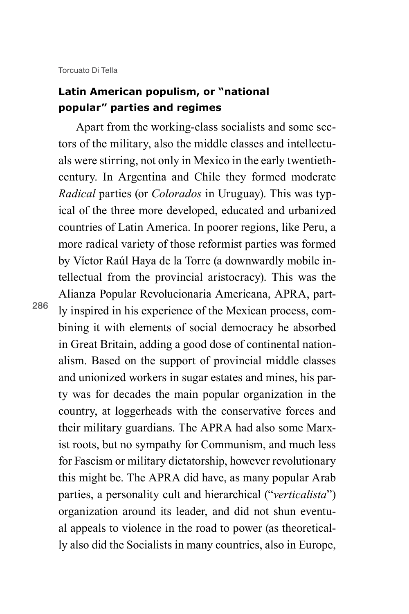Torcuato Di Tella

286

## **Latin American populism, or "national popular" parties and regimes**

Apart from the working-class socialists and some sectors of the military, also the middle classes and intellectuals were stirring, not only in Mexico in the early twentiethcentury. In Argentina and Chile they formed moderate *Radical* parties (or *Colorados* in Uruguay). This was typical of the three more developed, educated and urbanized countries of Latin America. In poorer regions, like Peru, a more radical variety of those reformist parties was formed by Víctor Raúl Haya de la Torre (a downwardly mobile intellectual from the provincial aristocracy). This was the Alianza Popular Revolucionaria Americana, APRA, partly inspired in his experience of the Mexican process, combining it with elements of social democracy he absorbed in Great Britain, adding a good dose of continental nationalism. Based on the support of provincial middle classes and unionized workers in sugar estates and mines, his party was for decades the main popular organization in the country, at loggerheads with the conservative forces and their military guardians. The APRA had also some Marxist roots, but no sympathy for Communism, and much less for Fascism or military dictatorship, however revolutionary this might be. The APRA did have, as many popular Arab parties, a personality cult and hierarchical ("*verticalista*") organization around its leader, and did not shun eventual appeals to violence in the road to power (as theoretically also did the Socialists in many countries, also in Europe,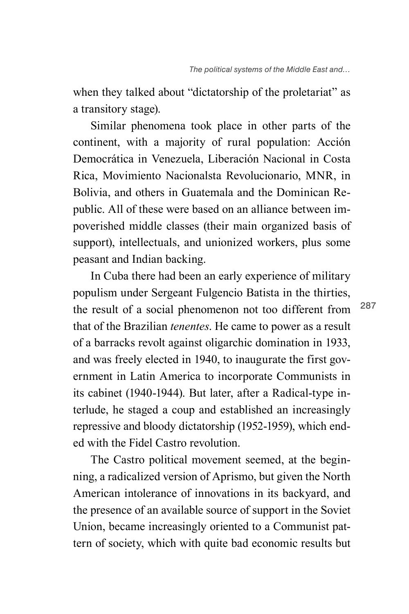when they talked about "dictatorship of the proletariat" as a transitory stage).

Similar phenomena took place in other parts of the continent, with a majority of rural population: Acción Democrática in Venezuela, Liberación Nacional in Costa Rica, Movimiento Nacionalsta Revolucionario, MNR, in Bolivia, and others in Guatemala and the Dominican Republic. All of these were based on an alliance between impoverished middle classes (their main organized basis of support), intellectuals, and unionized workers, plus some peasant and Indian backing.

In Cuba there had been an early experience of military populism under Sergeant Fulgencio Batista in the thirties, the result of a social phenomenon not too different from that of the Brazilian *tenentes*. He came to power as a result of a barracks revolt against oligarchic domination in 1933, and was freely elected in 1940, to inaugurate the first government in Latin America to incorporate Communists in its cabinet (1940-1944). But later, after a Radical-type interlude, he staged a coup and established an increasingly repressive and bloody dictatorship (1952-1959), which ended with the Fidel Castro revolution.

The Castro political movement seemed, at the beginning, a radicalized version of Aprismo, but given the North American intolerance of innovations in its backyard, and the presence of an available source of support in the Soviet Union, became increasingly oriented to a Communist pattern of society, which with quite bad economic results but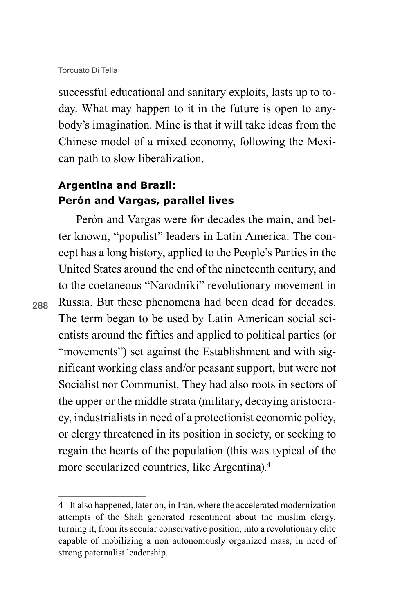successful educational and sanitary exploits, lasts up to today. What may happen to it in the future is open to anybody's imagination. Mine is that it will take ideas from the Chinese model of a mixed economy, following the Mexican path to slow liberalization.

## **Argentina and Brazil: Perón and Vargas, parallel lives**

Perón and Vargas were for decades the main, and better known, "populist" leaders in Latin America. The concept has a long history, applied to the People's Parties in the United States around the end of the nineteenth century, and to the coetaneous "Narodniki" revolutionary movement in Russia. But these phenomena had been dead for decades. The term began to be used by Latin American social scientists around the fifties and applied to political parties (or "movements") set against the Establishment and with significant working class and/or peasant support, but were not Socialist nor Communist. They had also roots in sectors of the upper or the middle strata (military, decaying aristocracy, industrialists in need of a protectionist economic policy, or clergy threatened in its position in society, or seeking to regain the hearts of the population (this was typical of the more secularized countries, like Argentina).4

<sup>4</sup> It also happened, later on, in Iran, where the accelerated modernization attempts of the Shah generated resentment about the muslim clergy, turning it, from its secular conservative position, into a revolutionary elite capable of mobilizing a non autonomously organized mass, in need of strong paternalist leadership.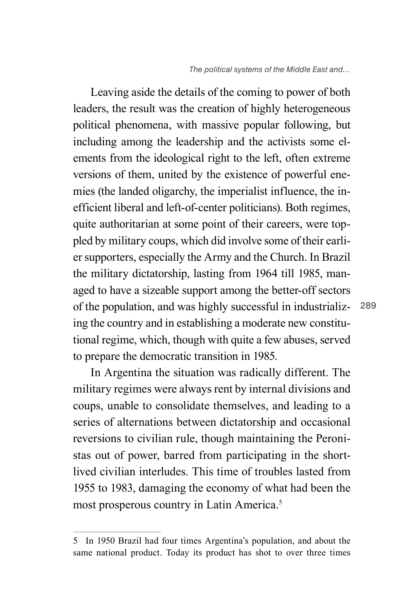Leaving aside the details of the coming to power of both leaders, the result was the creation of highly heterogeneous political phenomena, with massive popular following, but including among the leadership and the activists some elements from the ideological right to the left, often extreme versions of them, united by the existence of powerful enemies (the landed oligarchy, the imperialist influence, the inefficient liberal and left-of-center politicians). Both regimes, quite authoritarian at some point of their careers, were toppled by military coups, which did involve some of their earlier supporters, especially the Army and the Church. In Brazil the military dictatorship, lasting from 1964 till 1985, managed to have a sizeable support among the better-off sectors of the population, and was highly successful in industrializing the country and in establishing a moderate new constitutional regime, which, though with quite a few abuses, served to prepare the democratic transition in 1985.

In Argentina the situation was radically different. The military regimes were always rent by internal divisions and coups, unable to consolidate themselves, and leading to a series of alternations between dictatorship and occasional reversions to civilian rule, though maintaining the Peronistas out of power, barred from participating in the shortlived civilian interludes. This time of troubles lasted from 1955 to 1983, damaging the economy of what had been the most prosperous country in Latin America.5

<sup>5</sup> In 1950 Brazil had four times Argentina's population, and about the same national product. Today its product has shot to over three times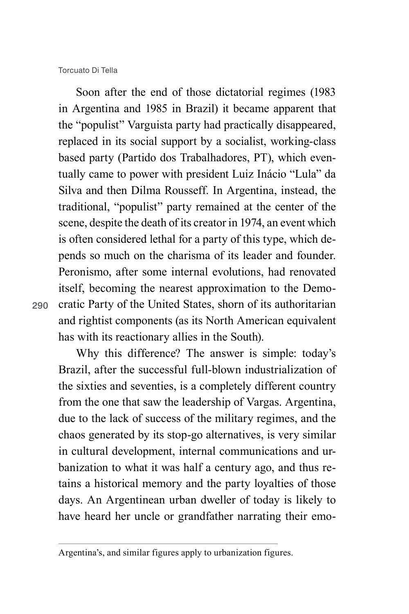Torcuato Di Tella

290

Soon after the end of those dictatorial regimes (1983 in Argentina and 1985 in Brazil) it became apparent that the "populist" Varguista party had practically disappeared, replaced in its social support by a socialist, working-class based party (Partido dos Trabalhadores, PT), which eventually came to power with president Luiz Inácio "Lula" da Silva and then Dilma Rousseff. In Argentina, instead, the traditional, "populist" party remained at the center of the scene, despite the death of its creator in 1974, an event which is often considered lethal for a party of this type, which depends so much on the charisma of its leader and founder. Peronismo, after some internal evolutions, had renovated itself, becoming the nearest approximation to the Democratic Party of the United States, shorn of its authoritarian and rightist components (as its North American equivalent has with its reactionary allies in the South).

Why this difference? The answer is simple: today's Brazil, after the successful full-blown industrialization of the sixties and seventies, is a completely different country from the one that saw the leadership of Vargas. Argentina, due to the lack of success of the military regimes, and the chaos generated by its stop-go alternatives, is very similar in cultural development, internal communications and urbanization to what it was half a century ago, and thus retains a historical memory and the party loyalties of those days. An Argentinean urban dweller of today is likely to have heard her uncle or grandfather narrating their emo-

Argentina's, and similar figures apply to urbanization figures.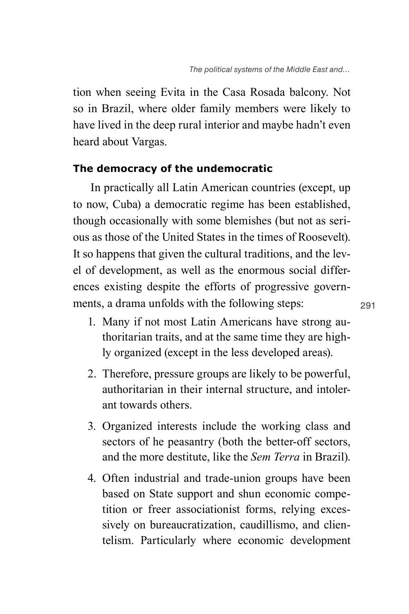tion when seeing Evita in the Casa Rosada balcony. Not so in Brazil, where older family members were likely to have lived in the deep rural interior and maybe hadn't even heard about Vargas.

#### **The democracy of the undemocratic**

In practically all Latin American countries (except, up to now, Cuba) a democratic regime has been established, though occasionally with some blemishes (but not as serious as those of the United States in the times of Roosevelt). It so happens that given the cultural traditions, and the level of development, as well as the enormous social differences existing despite the efforts of progressive governments, a drama unfolds with the following steps:

- 1. Many if not most Latin Americans have strong authoritarian traits, and at the same time they are highly organized (except in the less developed areas).
- 2. Therefore, pressure groups are likely to be powerful, authoritarian in their internal structure, and intolerant towards others.
- 3. Organized interests include the working class and sectors of he peasantry (both the better-off sectors, and the more destitute, like the *Sem Terra* in Brazil).
- 4. Often industrial and trade-union groups have been based on State support and shun economic competition or freer associationist forms, relying excessively on bureaucratization, caudillismo, and clientelism. Particularly where economic development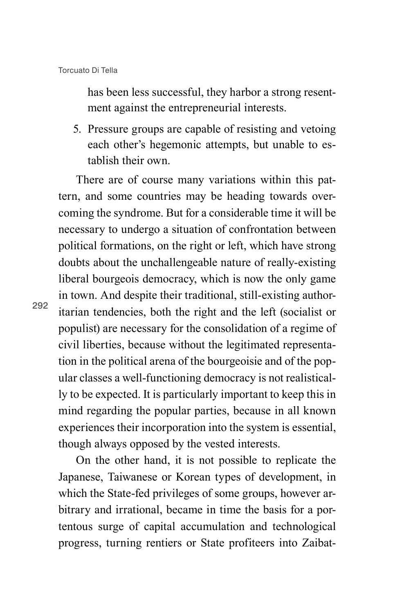has been less successful, they harbor a strong resentment against the entrepreneurial interests.

5. Pressure groups are capable of resisting and vetoing each other's hegemonic attempts, but unable to establish their own.

There are of course many variations within this pattern, and some countries may be heading towards overcoming the syndrome. But for a considerable time it will be necessary to undergo a situation of confrontation between political formations, on the right or left, which have strong doubts about the unchallengeable nature of really-existing liberal bourgeois democracy, which is now the only game in town. And despite their traditional, still-existing authoritarian tendencies, both the right and the left (socialist or populist) are necessary for the consolidation of a regime of civil liberties, because without the legitimated representation in the political arena of the bourgeoisie and of the popular classes a well-functioning democracy is not realistically to be expected. It is particularly important to keep this in mind regarding the popular parties, because in all known experiences their incorporation into the system is essential, though always opposed by the vested interests.

On the other hand, it is not possible to replicate the Japanese, Taiwanese or Korean types of development, in which the State-fed privileges of some groups, however arbitrary and irrational, became in time the basis for a portentous surge of capital accumulation and technological progress, turning rentiers or State profiteers into Zaibat